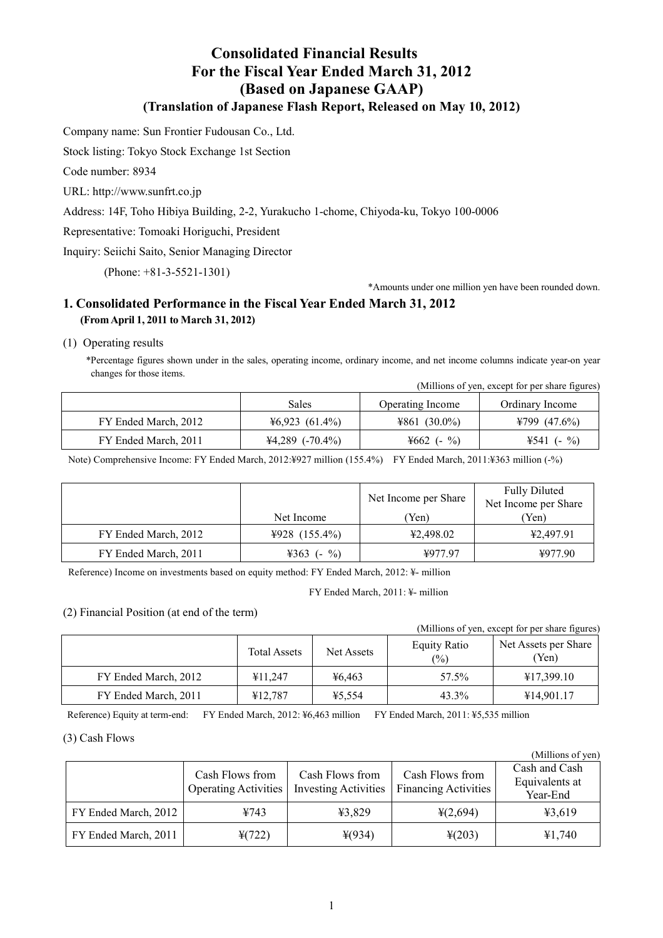# **Consolidated Financial Results For the Fiscal Year Ended March 31, 2012 (Based on Japanese GAAP) (Translation of Japanese Flash Report, Released on May 10, 2012)**

Company name: Sun Frontier Fudousan Co., Ltd.

Stock listing: Tokyo Stock Exchange 1st Section

Code number: 8934

URL: <http://www.sunfrt.co.jp>

Address: 14F, Toho Hibiya Building, 2-2, Yurakucho 1-chome, Chiyoda-ku, Tokyo 100-0006

Representative: Tomoaki Horiguchi, President

Inquiry: Seiichi Saito, Senior Managing Director

(Phone: +81-3-5521-1301)

\*Amounts under one million yen have been rounded down.

### **1. Consolidated Performance in the Fiscal Year Ended March 31, 2012 (FromApril 1, 2011 to March 31, 2012)**

(1) Operating results

\*Percentage figures shown under in the sales, operating income, ordinary income, and net income columns indicate year-on year changes for those items.

|                      |                   |                         | (Millions of yen, except for per share figures) |
|----------------------|-------------------|-------------------------|-------------------------------------------------|
|                      | Sales             | <b>Operating Income</b> | Ordinary Income                                 |
| FY Ended March, 2012 | $46,923$ (61.4%)  | $4861(30.0\%)$          | ¥799 $(47.6\%)$                                 |
| FY Ended March, 2011 | $44,289$ (-70.4%) | $\%$<br>$4662$ (-       | $4541(-%)$                                      |

Note) Comprehensive Income: FY Ended March, 2012:¥927 million (155.4%) FY Ended March, 2011:¥363 million (-%)

|                      |                   | Net Income per Share | <b>Fully Diluted</b><br>Net Income per Share |
|----------------------|-------------------|----------------------|----------------------------------------------|
|                      | Net Income        | Yen)                 | (Yen)                                        |
| FY Ended March, 2012 | ¥928 $(155.4\%)$  | ¥2,498.02            | ¥2,497.91                                    |
| FY Ended March, 2011 | $\%$<br>$4363$ (- | ¥977.97              | 4977.90                                      |

Reference) Income on investments based on equity method: FY Ended March, 2012: ¥- million

FY Ended March, 2011: ¥- million

(2) Financial Position (at end of the term)

|                      |                     |            |                                | (Millions of yen, except for per share figures) |
|----------------------|---------------------|------------|--------------------------------|-------------------------------------------------|
|                      | <b>Total Assets</b> | Net Assets | Equity Ratio<br>$\binom{0}{0}$ | Net Assets per Share<br>'Yen)                   |
| FY Ended March, 2012 | ¥11.247             | 46.463     | 57.5%                          | ¥17,399.10                                      |
| FY Ended March, 2011 | ¥12,787             | ¥5,554     | 43.3%                          | ¥14,901.17                                      |

Reference) Equity at term-end: FY Ended March, 2012: ¥6,463 million FY Ended March, 2011: ¥5,535 million

#### (3) Cash Flows

|                      |                                                |                                                |                                                | (Millions of yen)                           |
|----------------------|------------------------------------------------|------------------------------------------------|------------------------------------------------|---------------------------------------------|
|                      | Cash Flows from<br><b>Operating Activities</b> | Cash Flows from<br><b>Investing Activities</b> | Cash Flows from<br><b>Financing Activities</b> | Cash and Cash<br>Equivalents at<br>Year-End |
| FY Ended March, 2012 | ¥743                                           | ¥3,829                                         | $\frac{1}{2}(2,694)$                           | 43,619                                      |
| FY Ended March, 2011 | $\frac{1}{2}(722)$                             | $*(934)$                                       | $\frac{1}{2}(203)$                             | 41,740                                      |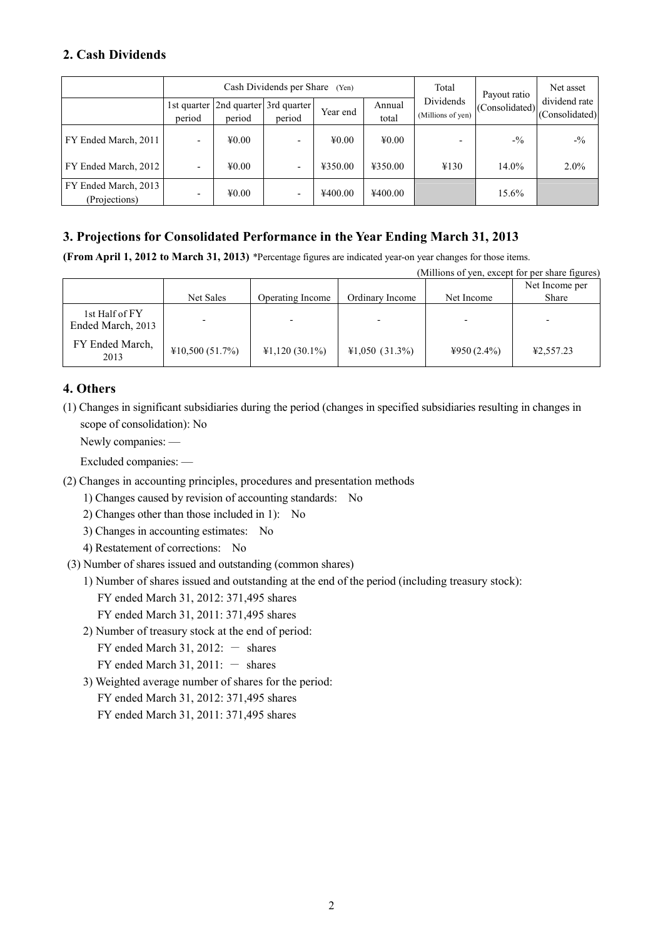# **2. Cash Dividends**

|                                       | Cash Dividends per Share (Yen) |                            |                                                     |                            | Total           | Payout ratio                   | Net asset |                                                                                                      |
|---------------------------------------|--------------------------------|----------------------------|-----------------------------------------------------|----------------------------|-----------------|--------------------------------|-----------|------------------------------------------------------------------------------------------------------|
|                                       | period                         | period                     | 1st quarter   2nd quarter   3rd quarter  <br>period | Year end                   | Annual<br>total | Dividends<br>(Millions of yen) |           | dividend rate<br>$\left  \frac{1}{2}\right $ (Consolidated) <sup>'</sup> (Consolidated) <sup>'</sup> |
| FY Ended March, 2011                  | $\overline{\phantom{0}}$       | $\text{\textsterling}0.00$ |                                                     | $\text{\textsterling}0.00$ | $\text{\#}0.00$ | $\overline{\phantom{0}}$       | $-1/2$    | $-1/2$                                                                                               |
| FY Ended March, 2012                  |                                | $\text{\textsterling}0.00$ |                                                     | ¥350.00                    | ¥350.00         | ¥130                           | $14.0\%$  | $2.0\%$                                                                                              |
| FY Ended March, 2013<br>(Projections) | $\overline{\phantom{0}}$       | $\text{\textsterling}0.00$ |                                                     | ¥400.00                    | ¥400.00         |                                | 15.6%     |                                                                                                      |

## **3. Projections for Consolidated Performance in the Year Ending March 31, 2013**

**(From April 1, 2012 to March 31, 2013)** \*Percentage figures are indicated year-on year changes for those items.

| (Millions of yen, except for per share figures) |                |                  |                  |                       |                         |  |
|-------------------------------------------------|----------------|------------------|------------------|-----------------------|-------------------------|--|
|                                                 | Net Sales      | Operating Income | Ordinary Income  | Net Income            | Net Income per<br>Share |  |
| 1st Half of FY<br>Ended March, 2013             |                |                  |                  |                       |                         |  |
| FY Ended March,<br>2013                         | ¥10,500(51.7%) | $41,120(30.1\%)$ | $41,050(31.3\%)$ | $\text{\#}950(2.4\%)$ | ¥2,557.23               |  |

## **4. Others**

(1) Changes in significant subsidiaries during the period (changes in specified subsidiaries resulting in changes in scope of consolidation): No

Newly companies: —

Excluded companies: —

(2) Changes in accounting principles, procedures and presentation methods

1) Changes caused by revision of accounting standards: No

2) Changes other than those included in 1): No

3) Changes in accounting estimates: No

4) Restatement of corrections: No

(3) Number of shares issued and outstanding (common shares)

1) Number of shares issued and outstanding at the end of the period (including treasury stock):

- FY ended March 31, 2012: 371,495 shares
- FY ended March 31, 2011: 371,495 shares
- 2) Number of treasury stock at the end of period:

FY ended March 31, 2012:  $-$  shares

FY ended March 31, 2011:  $-$  shares

3) Weighted average number of shares for the period:

FY ended March 31, 2012: 371,495 shares

FY ended March 31, 2011: 371,495 shares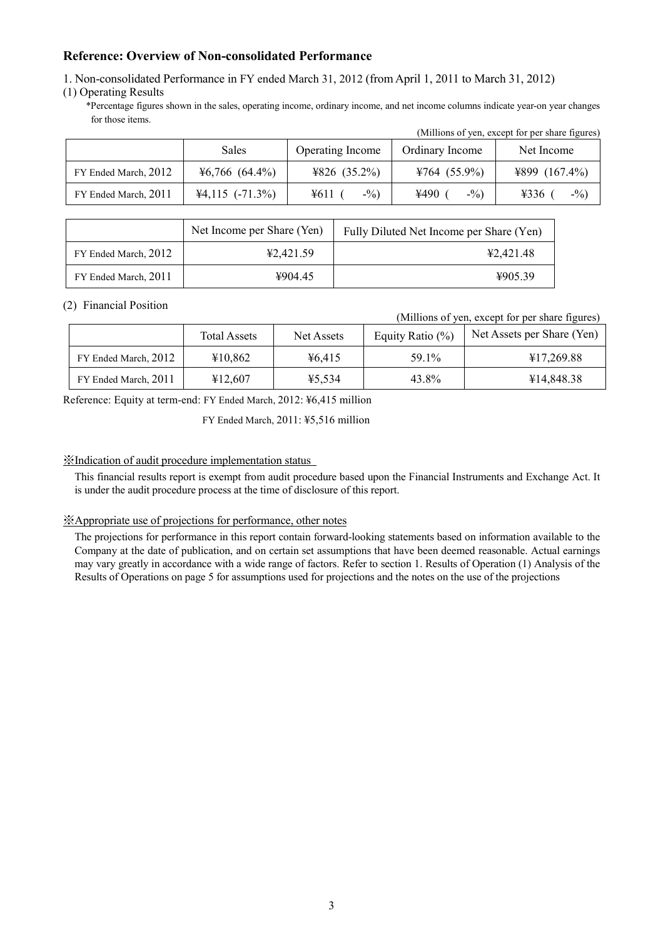### **Reference: Overview of Non-consolidated Performance**

1. Non-consolidated Performance in FY ended March 31, 2012 (from April 1, 2011 to March 31, 2012)

### (1) Operating Results

\*Percentage figures shown in the sales, operating income, ordinary income, and net income columns indicate year-on year changes for those items.

|                      |                     |                  |                 | (Millions of yen, except for per share figures) |
|----------------------|---------------------|------------------|-----------------|-------------------------------------------------|
|                      | <b>Sales</b>        | Operating Income | Ordinary Income | Net Income                                      |
| FY Ended March, 2012 | $46,766$ $(64.4\%)$ | ¥826 $(35.2\%)$  | ¥764 $(55.9\%)$ | ¥899 $(167.4\%)$                                |
| FY Ended March, 2011 | $44,115$ (-71.3%)   | $-$ %)<br>¥611   | ¥490<br>$-9/0$  | 4336<br>$-1/2$                                  |

|                      | Net Income per Share (Yen) | Fully Diluted Net Income per Share (Yen) |
|----------------------|----------------------------|------------------------------------------|
| FY Ended March, 2012 | ¥2.421.59                  | 42.421.48                                |
| FY Ended March, 2011 | 4904.45                    | 4905.39                                  |

### (2) Financial Position

#### (Millions of yen, except for per share figures)

|                      | <b>Total Assets</b> | Net Assets | Equity Ratio $(\%)$ | Net Assets per Share (Yen) |
|----------------------|---------------------|------------|---------------------|----------------------------|
| FY Ended March, 2012 | ¥10.862             | 46.415     | 59.1%               | ¥17,269.88                 |
| FY Ended March, 2011 | ¥12,607             | ¥5.534     | 43.8%               | ¥14,848.38                 |

Reference: Equity at term-end: FY Ended March, 2012: ¥6,415 million

FY Ended March, 2011: ¥5,516 million

### ※Indication of audit procedure implementation status

This financial results report is exempt from audit procedure based upon the Financial Instruments and Exchange Act. It is under the audit procedure process at the time of disclosure of this report.

#### ※Appropriate use of projections for performance, other notes

The projections for performance in this report contain forward-looking statements based on information available to the Company at the date of publication, and on certain set assumptions that have been deemed reasonable. Actual earnings may vary greatly in accordance with a wide range of factors. Refer to section 1. Results of Operation (1) Analysis of the Results of Operations on page 5 for assumptions used for projections and the notes on the use of the projections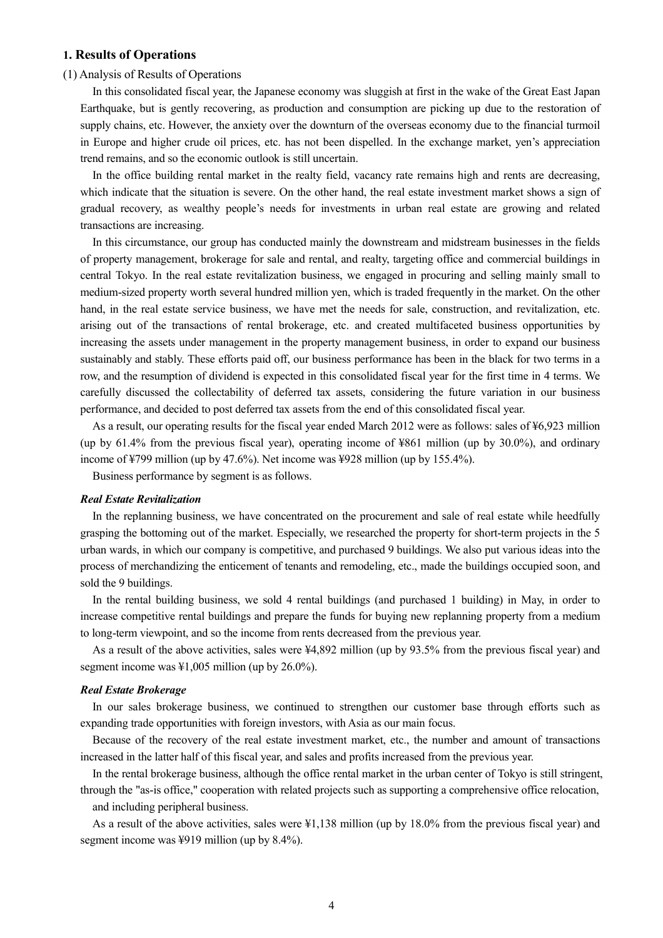### **1. Results of Operations**

#### (1) Analysis of Results of Operations

In this consolidated fiscal year, the Japanese economy was sluggish at first in the wake of the Great East Japan Earthquake, but is gently recovering, as production and consumption are picking up due to the restoration of supply chains, etc. However, the anxiety over the downturn of the overseas economy due to the financial turmoil in Europe and higher crude oil prices, etc. has not been dispelled. In the exchange market, yen's appreciation trend remains, and so the economic outlook is still uncertain.

In the office building rental market in the realty field, vacancy rate remains high and rents are decreasing, which indicate that the situation is severe. On the other hand, the real estate investment market shows a sign of gradual recovery, as wealthy people's needs for investments in urban real estate are growing and related transactions are increasing.

In this circumstance, our group has conducted mainly the downstream and midstream businesses in the fields of property management, brokerage for sale and rental, and realty, targeting office and commercial buildings in central Tokyo. In the real estate revitalization business, we engaged in procuring and selling mainly small to medium-sized property worth several hundred million yen, which is traded frequently in the market. On the other hand, in the real estate service business, we have met the needs for sale, construction, and revitalization, etc. arising out of the transactions of rental brokerage, etc. and created multifaceted business opportunities by increasing the assets under management in the property management business, in order to expand our business sustainably and stably. These efforts paid off, our business performance has been in the black for two terms in a row, and the resumption of dividend is expected in this consolidated fiscal year for the first time in 4 terms. We carefully discussed the collectability of deferred tax assets, considering the future variation in our business performance, and decided to post deferred tax assets from the end of this consolidated fiscal year.

As a result, our operating results for the fiscal year ended March 2012 were as follows: sales of ¥6,923 million (up by 61.4% from the previous fiscal year), operating income of ¥861 million (up by 30.0%), and ordinary income of ¥799 million (up by 47.6%). Net income was ¥928 million (up by 155.4%).

Business performance by segment is as follows.

#### *Real Estate Revitalization*

In the replanning business, we have concentrated on the procurement and sale of real estate while heedfully grasping the bottoming out of the market. Especially, we researched the property for short-term projects in the 5 urban wards, in which our company is competitive, and purchased 9 buildings. We also put various ideas into the process of merchandizing the enticement of tenants and remodeling, etc., made the buildings occupied soon, and sold the 9 buildings.

In the rental building business, we sold 4 rental buildings (and purchased 1 building) in May, in order to increase competitive rental buildings and prepare the funds for buying new replanning property from a medium to long-term viewpoint, and so the income from rents decreased from the previous year.

As a result of the above activities, sales were ¥4,892 million (up by 93.5% from the previous fiscal year) and segment income was ¥1,005 million (up by 26.0%).

#### *Real Estate Brokerage*

In our sales brokerage business, we continued to strengthen our customer base through efforts such as expanding trade opportunities with foreign investors, with Asia as our main focus.

Because of the recovery of the real estate investment market, etc., the number and amount of transactions increased in the latter half of this fiscal year, and sales and profits increased from the previous year.

In the rental brokerage business, although the office rental market in the urban center of Tokyo is still stringent, through the "as-is office," cooperation with related projects such as supporting a comprehensive office relocation,

and including peripheral business.

As a result of the above activities, sales were ¥1,138 million (up by 18.0% from the previous fiscal year) and segment income was ¥919 million (up by 8.4%).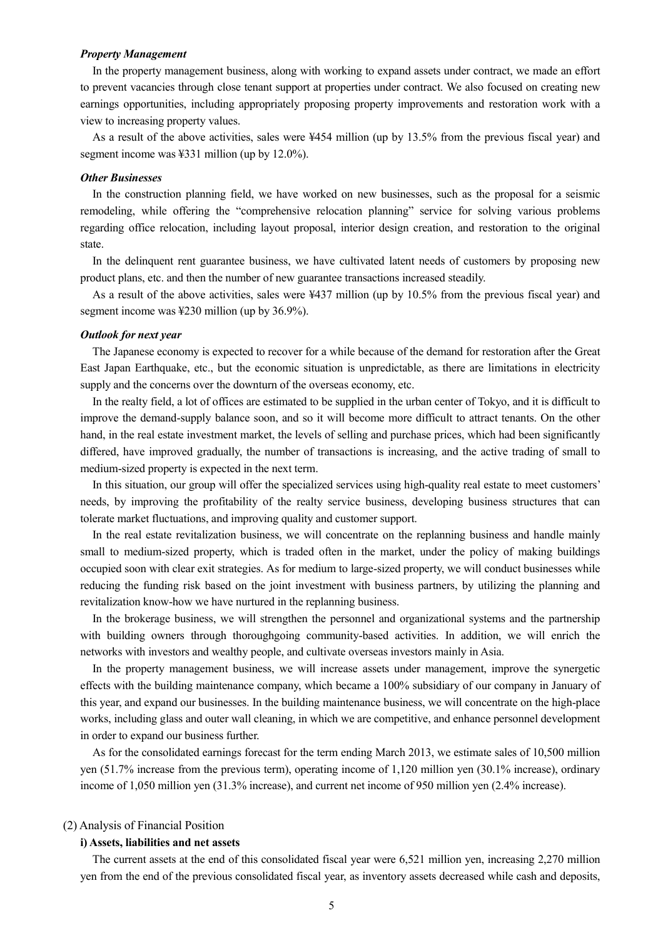#### *Property Management*

In the property management business, along with working to expand assets under contract, we made an effort to prevent vacancies through close tenant support at properties under contract. We also focused on creating new earnings opportunities, including appropriately proposing property improvements and restoration work with a view to increasing property values.

As a result of the above activities, sales were ¥454 million (up by 13.5% from the previous fiscal year) and segment income was ¥331 million (up by 12.0%).

#### *Other Businesses*

In the construction planning field, we have worked on new businesses, such as the proposal for a seismic remodeling, while offering the "comprehensive relocation planning" service for solving various problems regarding office relocation, including layout proposal, interior design creation, and restoration to the original state.

In the delinquent rent guarantee business, we have cultivated latent needs of customers by proposing new product plans, etc. and then the number of new guarantee transactions increased steadily.

As a result of the above activities, sales were ¥437 million (up by 10.5% from the previous fiscal year) and segment income was ¥230 million (up by 36.9%).

#### *Outlook for next year*

The Japanese economy is expected to recover for a while because of the demand for restoration after the Great East Japan Earthquake, etc., but the economic situation is unpredictable, as there are limitations in electricity supply and the concerns over the downturn of the overseas economy, etc.

In the realty field, a lot of offices are estimated to be supplied in the urban center of Tokyo, and it is difficult to improve the demand-supply balance soon, and so it will become more difficult to attract tenants. On the other hand, in the real estate investment market, the levels of selling and purchase prices, which had been significantly differed, have improved gradually, the number of transactions is increasing, and the active trading of small to medium-sized property is expected in the next term.

In this situation, our group will offer the specialized services using high-quality real estate to meet customers' needs, by improving the profitability of the realty service business, developing business structures that can tolerate market fluctuations, and improving quality and customer support.

In the real estate revitalization business, we will concentrate on the replanning business and handle mainly small to medium-sized property, which is traded often in the market, under the policy of making buildings occupied soon with clear exit strategies. As for medium to large-sized property, we will conduct businesses while reducing the funding risk based on the joint investment with business partners, by utilizing the planning and revitalization know-how we have nurtured in the replanning business.

In the brokerage business, we will strengthen the personnel and organizational systems and the partnership with building owners through thoroughgoing community-based activities. In addition, we will enrich the networks with investors and wealthy people, and cultivate overseas investors mainly in Asia.

In the property management business, we will increase assets under management, improve the synergetic effects with the building maintenance company, which became a 100% subsidiary of our company in January of this year, and expand our businesses. In the building maintenance business, we will concentrate on the high-place works, including glass and outer wall cleaning, in which we are competitive, and enhance personnel development in order to expand our business further.

As for the consolidated earnings forecast for the term ending March 2013, we estimate sales of 10,500 million yen (51.7% increase from the previous term), operating income of 1,120 million yen (30.1% increase), ordinary income of 1,050 million yen (31.3% increase), and current net income of 950 million yen (2.4% increase).

#### (2) Analysis of Financial Position

#### **i) Assets, liabilities and net assets**

The current assets at the end of this consolidated fiscal year were 6,521 million yen, increasing 2,270 million yen from the end of the previous consolidated fiscal year, as inventory assets decreased while cash and deposits,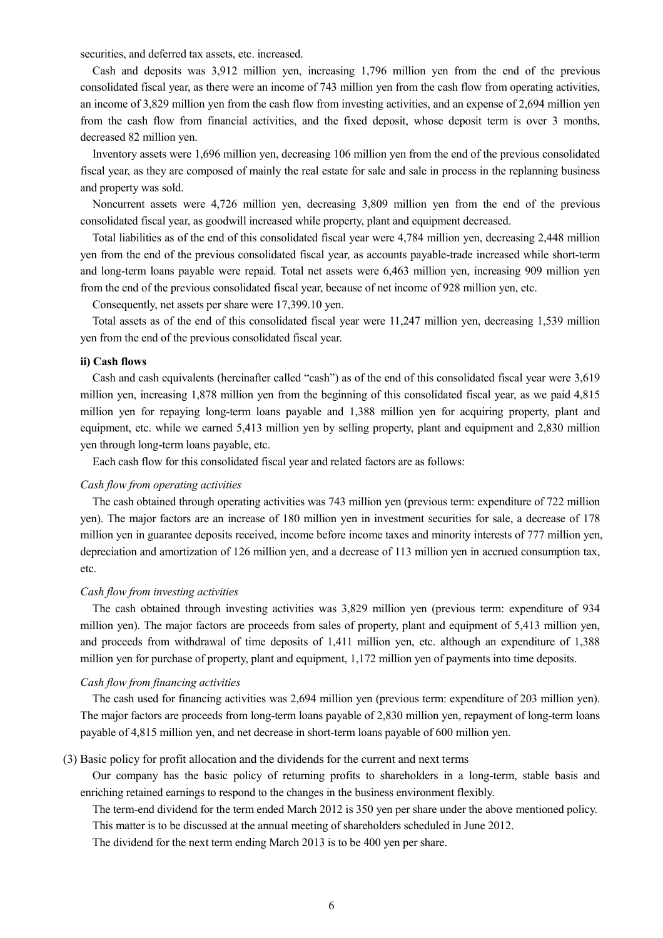securities, and deferred tax assets, etc. increased.

Cash and deposits was 3,912 million yen, increasing 1,796 million yen from the end of the previous consolidated fiscal year, as there were an income of 743 million yen from the cash flow from operating activities, an income of 3,829 million yen from the cash flow from investing activities, and an expense of 2,694 million yen from the cash flow from financial activities, and the fixed deposit, whose deposit term is over 3 months, decreased 82 million yen.

Inventory assets were 1,696 million yen, decreasing 106 million yen from the end of the previous consolidated fiscal year, as they are composed of mainly the real estate for sale and sale in process in the replanning business and property was sold.

Noncurrent assets were 4,726 million yen, decreasing 3,809 million yen from the end of the previous consolidated fiscal year, as goodwill increased while property, plant and equipment decreased.

Total liabilities as of the end of this consolidated fiscal year were 4,784 million yen, decreasing 2,448 million yen from the end of the previous consolidated fiscal year, as accounts payable-trade increased while short-term and long-term loans payable were repaid. Total net assets were 6,463 million yen, increasing 909 million yen from the end of the previous consolidated fiscal year, because of net income of 928 million yen, etc.

Consequently, net assets per share were 17,399.10 yen.

Total assets as of the end of this consolidated fiscal year were 11,247 million yen, decreasing 1,539 million yen from the end of the previous consolidated fiscal year.

#### **ii) Cash flows**

Cash and cash equivalents (hereinafter called "cash") as of the end of this consolidated fiscal year were 3,619 million yen, increasing 1,878 million yen from the beginning of this consolidated fiscal year, as we paid 4,815 million yen for repaying long-term loans payable and 1,388 million yen for acquiring property, plant and equipment, etc. while we earned 5,413 million yen by selling property, plant and equipment and 2,830 million yen through long-term loans payable, etc.

Each cash flow for this consolidated fiscal year and related factors are as follows:

### *Cash flow from operating activities*

The cash obtained through operating activities was 743 million yen (previous term: expenditure of 722 million yen). The major factors are an increase of 180 million yen in investment securities for sale, a decrease of 178 million yen in guarantee deposits received, income before income taxes and minority interests of 777 million yen, depreciation and amortization of 126 million yen, and a decrease of 113 million yen in accrued consumption tax, etc.

#### *Cash flow from investing activities*

The cash obtained through investing activities was 3,829 million yen (previous term: expenditure of 934 million yen). The major factors are proceeds from sales of property, plant and equipment of 5,413 million yen, and proceeds from withdrawal of time deposits of 1,411 million yen, etc. although an expenditure of 1,388 million yen for purchase of property, plant and equipment, 1,172 million yen of payments into time deposits.

#### *Cash flow from financing activities*

The cash used for financing activities was 2,694 million yen (previous term: expenditure of 203 million yen). The major factors are proceeds from long-term loans payable of 2,830 million yen, repayment of long-term loans payable of 4,815 million yen, and net decrease in short-term loans payable of 600 million yen.

#### (3) Basic policy for profit allocation and the dividends for the current and next terms

Our company has the basic policy of returning profits to shareholders in a long-term, stable basis and enriching retained earnings to respond to the changes in the business environment flexibly.

The term-end dividend for the term ended March 2012 is 350 yen per share under the above mentioned policy. This matter is to be discussed at the annual meeting of shareholders scheduled in June 2012.

The dividend for the next term ending March 2013 is to be 400 yen per share.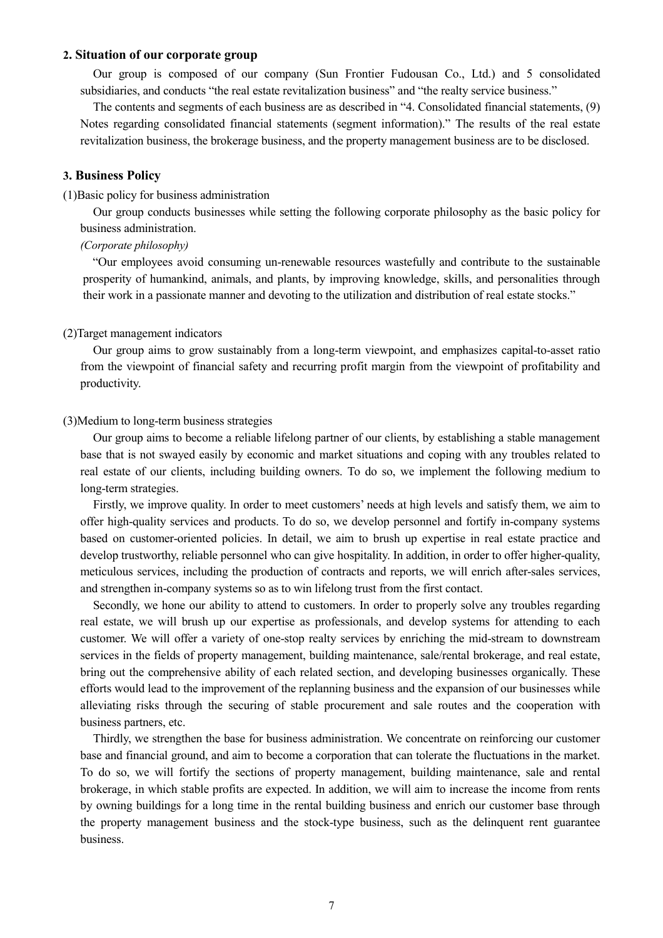### **2. Situation of our corporate group**

Our group is composed of our company (Sun Frontier Fudousan Co., Ltd.) and 5 consolidated subsidiaries, and conducts "the real estate revitalization business" and "the realty service business."

The contents and segments of each business are as described in "4. Consolidated financial statements, (9) Notes regarding consolidated financial statements (segment information)." The results of the real estate revitalization business, the brokerage business, and the property management business are to be disclosed.

#### **3. Business Policy**

#### (1)Basic policy for business administration

Our group conducts businesses while setting the following corporate philosophy as the basic policy for business administration.

### *(Corporate philosophy)*

"Our employees avoid consuming un-renewable resources wastefully and contribute to the sustainable prosperity of humankind, animals, and plants, by improving knowledge, skills, and personalities through their work in a passionate manner and devoting to the utilization and distribution of real estate stocks."

#### (2)Target management indicators

Our group aims to grow sustainably from a long-term viewpoint, and emphasizes capital-to-asset ratio from the viewpoint of financial safety and recurring profit margin from the viewpoint of profitability and productivity.

### (3)Medium to long-term business strategies

Our group aims to become a reliable lifelong partner of our clients, by establishing a stable management base that is not swayed easily by economic and market situations and coping with any troubles related to real estate of our clients, including building owners. To do so, we implement the following medium to long-term strategies.

Firstly, we improve quality. In order to meet customers' needs at high levels and satisfy them, we aim to offer high-quality services and products. To do so, we develop personnel and fortify in-company systems based on customer-oriented policies. In detail, we aim to brush up expertise in real estate practice and develop trustworthy, reliable personnel who can give hospitality. In addition, in order to offer higher-quality, meticulous services, including the production of contracts and reports, we will enrich after-sales services, and strengthen in-company systems so as to win lifelong trust from the first contact.

Secondly, we hone our ability to attend to customers. In order to properly solve any troubles regarding real estate, we will brush up our expertise as professionals, and develop systems for attending to each customer. We will offer a variety of one-stop realty services by enriching the mid-stream to downstream services in the fields of property management, building maintenance, sale/rental brokerage, and real estate, bring out the comprehensive ability of each related section, and developing businesses organically. These efforts would lead to the improvement of the replanning business and the expansion of our businesses while alleviating risks through the securing of stable procurement and sale routes and the cooperation with business partners, etc.

Thirdly, we strengthen the base for business administration. We concentrate on reinforcing our customer base and financial ground, and aim to become a corporation that can tolerate the fluctuations in the market. To do so, we will fortify the sections of property management, building maintenance, sale and rental brokerage, in which stable profits are expected. In addition, we will aim to increase the income from rents by owning buildings for a long time in the rental building business and enrich our customer base through the property management business and the stock-type business, such as the delinquent rent guarantee business.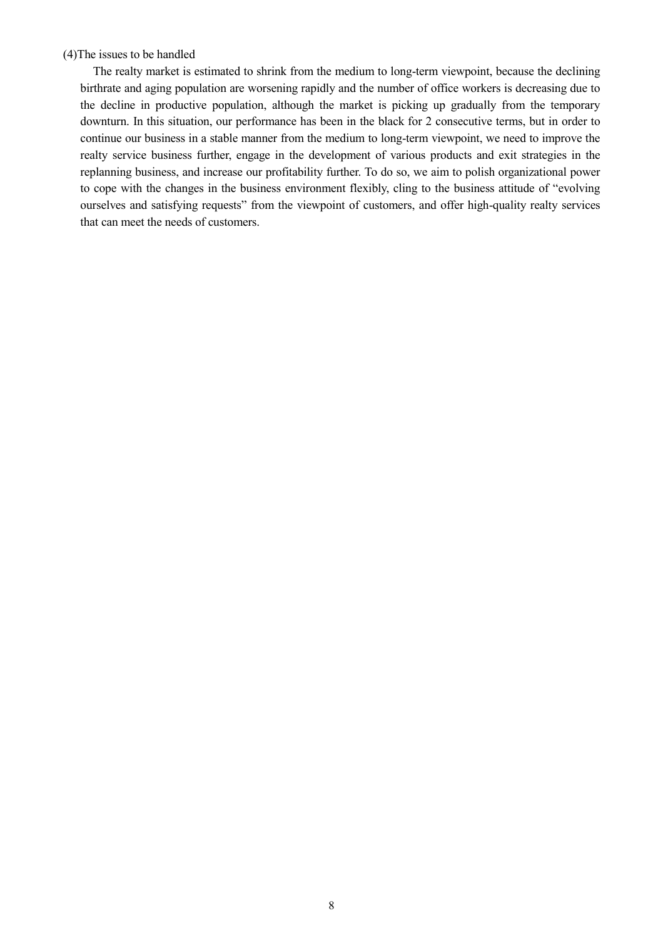### (4)The issues to be handled

The realty market is estimated to shrink from the medium to long-term viewpoint, because the declining birthrate and aging population are worsening rapidly and the number of office workers is decreasing due to the decline in productive population, although the market is picking up gradually from the temporary downturn. In this situation, our performance has been in the black for 2 consecutive terms, but in order to continue our business in a stable manner from the medium to long-term viewpoint, we need to improve the realty service business further, engage in the development of various products and exit strategies in the replanning business, and increase our profitability further. To do so, we aim to polish organizational power to cope with the changes in the business environment flexibly, cling to the business attitude of "evolving ourselves and satisfying requests" from the viewpoint of customers, and offer high-quality realty services that can meet the needs of customers.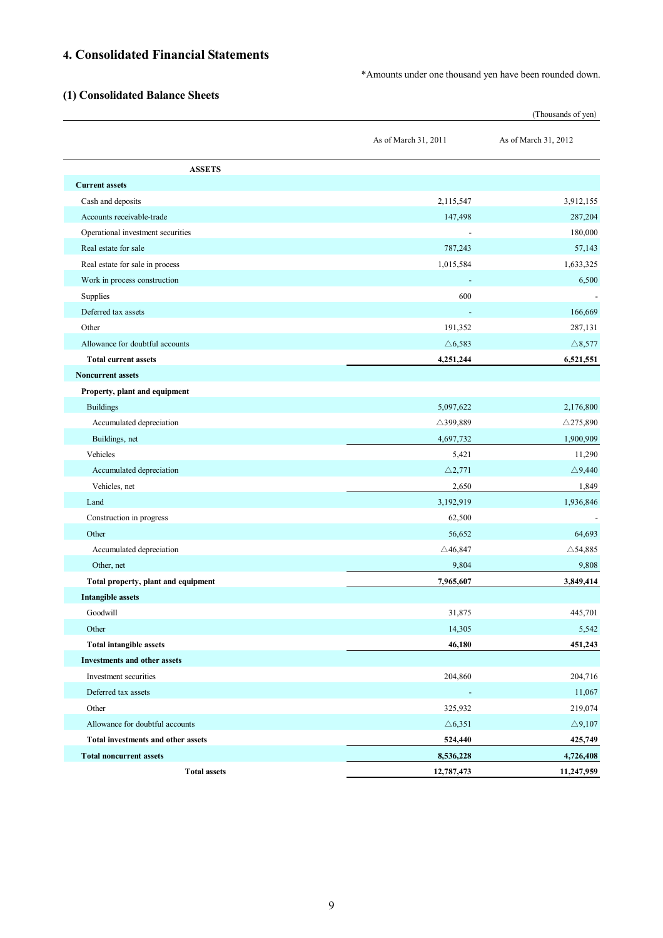# **4. Consolidated Financial Statements**

\*Amounts under one thousand yen have been rounded down.

# **(1) Consolidated Balance Sheets**

|                                     |                          | (Thousands of yen)   |
|-------------------------------------|--------------------------|----------------------|
|                                     | As of March 31, 2011     | As of March 31, 2012 |
| <b>ASSETS</b>                       |                          |                      |
| <b>Current assets</b>               |                          |                      |
| Cash and deposits                   | 2,115,547                | 3,912,155            |
| Accounts receivable-trade           | 147,498                  | 287,204              |
| Operational investment securities   | $\overline{\phantom{a}}$ | 180,000              |
| Real estate for sale                | 787,243                  | 57,143               |
| Real estate for sale in process     | 1,015,584                | 1,633,325            |
| Work in process construction        |                          | 6,500                |
| Supplies                            | 600                      |                      |
| Deferred tax assets                 |                          | 166,669              |
| Other                               | 191,352                  | 287,131              |
| Allowance for doubtful accounts     | $\triangle 6,583$        | $\triangle$ 8,577    |
| <b>Total current assets</b>         | 4,251,244                | 6,521,551            |
| <b>Noncurrent assets</b>            |                          |                      |
| Property, plant and equipment       |                          |                      |
| <b>Buildings</b>                    | 5,097,622                | 2,176,800            |
| Accumulated depreciation            | △399,889                 | $\triangle$ 275,890  |
| Buildings, net                      | 4,697,732                | 1,900,909            |
| Vehicles                            | 5,421                    | 11,290               |
| Accumulated depreciation            | $\triangle$ 2,771        | $\triangle$ 9,440    |
| Vehicles, net                       | 2,650                    | 1,849                |
| Land                                | 3,192,919                | 1,936,846            |
| Construction in progress            | 62,500                   |                      |
| Other                               | 56,652                   | 64,693               |
| Accumulated depreciation            | $\triangle$ 46,847       | $\triangle$ 54,885   |
| Other, net                          | 9,804                    | 9,808                |
| Total property, plant and equipment | 7,965,607                | 3,849,414            |
| <b>Intangible assets</b>            |                          |                      |
| Goodwill                            | 31,875                   | 445,701              |
| Other                               | 14,305                   | 5,542                |
| <b>Total intangible assets</b>      | 46,180                   | 451,243              |
| <b>Investments and other assets</b> |                          |                      |
| Investment securities               | 204,860                  | 204,716              |
| Deferred tax assets                 | $\overline{\phantom{a}}$ | 11,067               |
| Other                               | 325,932                  | 219,074              |
| Allowance for doubtful accounts     | $\triangle 6,351$        | $\triangle 9{,}107$  |
| Total investments and other assets  | 524,440                  | 425,749              |
| <b>Total noncurrent assets</b>      | 8,536,228                | 4,726,408            |
| <b>Total assets</b>                 | 12,787,473               | 11,247,959           |
|                                     |                          |                      |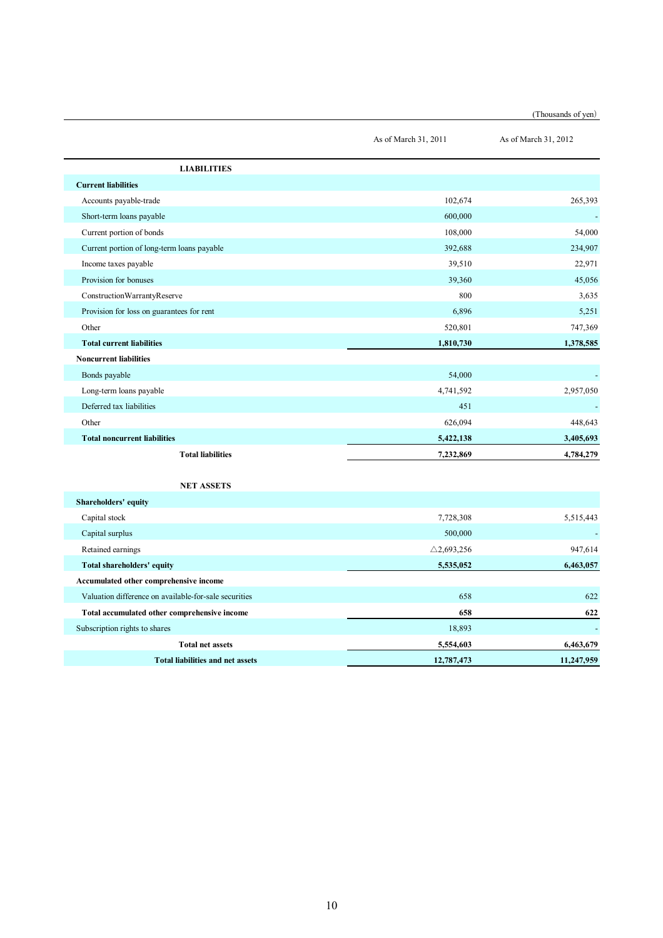| (Thousands of yen) |  |
|--------------------|--|
|--------------------|--|

|                                                       | As of March 31, 2011  | As of March 31, 2012 |
|-------------------------------------------------------|-----------------------|----------------------|
| <b>LIABILITIES</b>                                    |                       |                      |
| <b>Current liabilities</b>                            |                       |                      |
| Accounts payable-trade                                | 102,674               | 265,393              |
| Short-term loans payable                              | 600,000               |                      |
| Current portion of bonds                              | 108,000               | 54.000               |
| Current portion of long-term loans payable            | 392,688               | 234,907              |
| Income taxes payable                                  | 39,510                | 22,971               |
| Provision for bonuses                                 | 39,360                | 45,056               |
| ConstructionWarrantyReserve                           | 800                   | 3,635                |
| Provision for loss on guarantees for rent             | 6,896                 | 5,251                |
| Other                                                 | 520,801               | 747,369              |
| <b>Total current liabilities</b>                      | 1,810,730             | 1,378,585            |
| <b>Noncurrent liabilities</b>                         |                       |                      |
| Bonds payable                                         | 54,000                |                      |
| Long-term loans payable                               | 4,741,592             | 2,957,050            |
| Deferred tax liabilities                              | 451                   |                      |
| Other                                                 | 626,094               | 448,643              |
| <b>Total noncurrent liabilities</b>                   | 5,422,138             | 3,405,693            |
| <b>Total liabilities</b>                              | 7,232,869             | 4,784,279            |
| <b>NET ASSETS</b>                                     |                       |                      |
| Shareholders' equity                                  |                       |                      |
| Capital stock                                         | 7,728,308             | 5,515,443            |
| Capital surplus                                       | 500,000               |                      |
| Retained earnings                                     | $\triangle$ 2,693,256 | 947,614              |
| Total shareholders' equity                            | 5,535,052             | 6,463,057            |
| Accumulated other comprehensive income                |                       |                      |
| Valuation difference on available-for-sale securities | 658                   | 622                  |
| Total accumulated other comprehensive income          | 658                   | 622                  |
| Subscription rights to shares                         | 18,893                |                      |
| <b>Total net assets</b>                               | 5,554,603             | 6,463,679            |

**Total liabilities and net assets 12,787,473 11,247,959**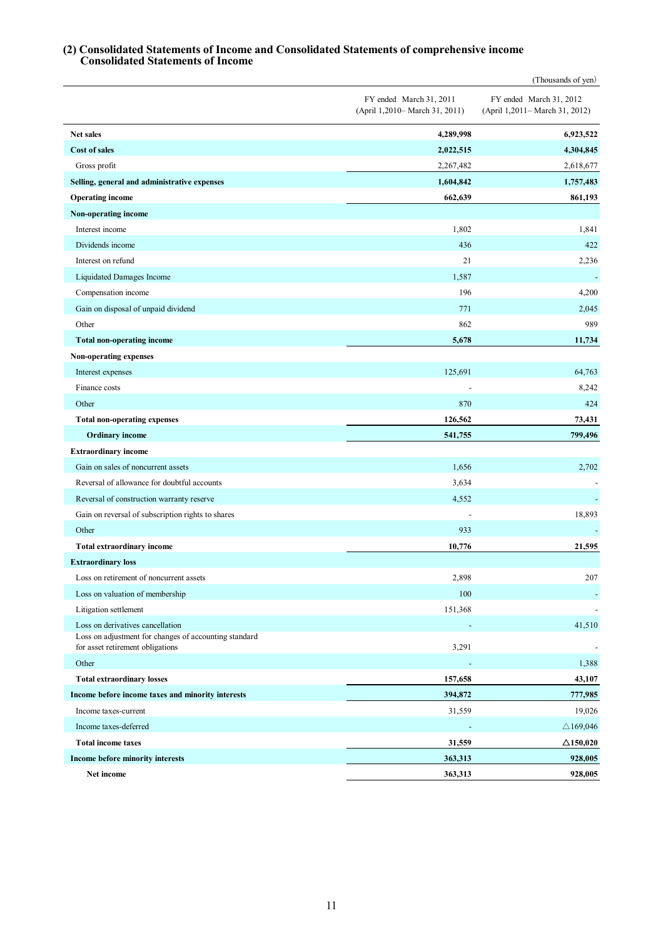#### **(2) Consolidated Statements of Income and Consolidated Statements of comprehensive income Consolidated Statements of Income**

|                                                                                           |                                                           | (Thousands of yen)                                        |
|-------------------------------------------------------------------------------------------|-----------------------------------------------------------|-----------------------------------------------------------|
|                                                                                           | FY ended March 31, 2011<br>(April 1,2010– March 31, 2011) | FY ended March 31, 2012<br>(April 1,2011– March 31, 2012) |
| <b>Net sales</b>                                                                          | 4,289,998                                                 | 6,923,522                                                 |
| <b>Cost of sales</b>                                                                      | 2,022,515                                                 | 4,304,845                                                 |
| Gross profit                                                                              | 2,267,482                                                 | 2,618,677                                                 |
| Selling, general and administrative expenses                                              | 1,604,842                                                 | 1,757,483                                                 |
| <b>Operating income</b>                                                                   | 662,639                                                   | 861,193                                                   |
| Non-operating income                                                                      |                                                           |                                                           |
| Interest income                                                                           | 1,802                                                     | 1,841                                                     |
| Dividends income                                                                          | 436                                                       | 422                                                       |
| Interest on refund                                                                        | 21                                                        | 2,236                                                     |
| Liquidated Damages Income                                                                 | 1,587                                                     |                                                           |
| Compensation income                                                                       | 196                                                       | 4,200                                                     |
| Gain on disposal of unpaid dividend                                                       | 771                                                       | 2,045                                                     |
| Other                                                                                     | 862                                                       | 989                                                       |
| <b>Total non-operating income</b>                                                         | 5,678                                                     | 11,734                                                    |
| Non-operating expenses                                                                    |                                                           |                                                           |
| Interest expenses                                                                         | 125,691                                                   | 64,763                                                    |
| Finance costs                                                                             |                                                           | 8,242                                                     |
| Other                                                                                     | 870                                                       | 424                                                       |
| <b>Total non-operating expenses</b>                                                       | 126,562                                                   | 73,431                                                    |
| <b>Ordinary</b> income                                                                    | 541,755                                                   | 799,496                                                   |
| <b>Extraordinary income</b>                                                               |                                                           |                                                           |
| Gain on sales of noncurrent assets                                                        | 1,656                                                     | 2,702                                                     |
| Reversal of allowance for doubtful accounts                                               | 3,634                                                     |                                                           |
| Reversal of construction warranty reserve                                                 | 4,552                                                     | $\blacksquare$                                            |
| Gain on reversal of subscription rights to shares                                         |                                                           | 18,893                                                    |
| Other                                                                                     | 933                                                       |                                                           |
| Total extraordinary income                                                                | 10,776                                                    | 21,595                                                    |
| <b>Extraordinary loss</b>                                                                 |                                                           |                                                           |
| Loss on retirement of noncurrent assets                                                   | 2,898                                                     | 207                                                       |
| Loss on valuation of membership                                                           | 100                                                       |                                                           |
| Litigation settlement                                                                     | 151,368                                                   |                                                           |
| Loss on derivatives cancellation<br>Loss on adjustment for changes of accounting standard |                                                           | 41,510                                                    |
| for asset retirement obligations                                                          | 3,291                                                     |                                                           |
| Other                                                                                     |                                                           | 1,388                                                     |
| <b>Total extraordinary losses</b>                                                         | 157,658                                                   | 43,107                                                    |
| Income before income taxes and minority interests                                         | 394,872                                                   | 777,985                                                   |
| Income taxes-current                                                                      | 31,559                                                    | 19,026                                                    |
| Income taxes-deferred                                                                     |                                                           | $\triangle$ 169,046                                       |
| <b>Total income taxes</b>                                                                 | 31,559                                                    | $\Delta$ 150,020                                          |
| Income before minority interests                                                          | 363,313                                                   | 928,005                                                   |
| Net income                                                                                | 363,313                                                   | 928,005                                                   |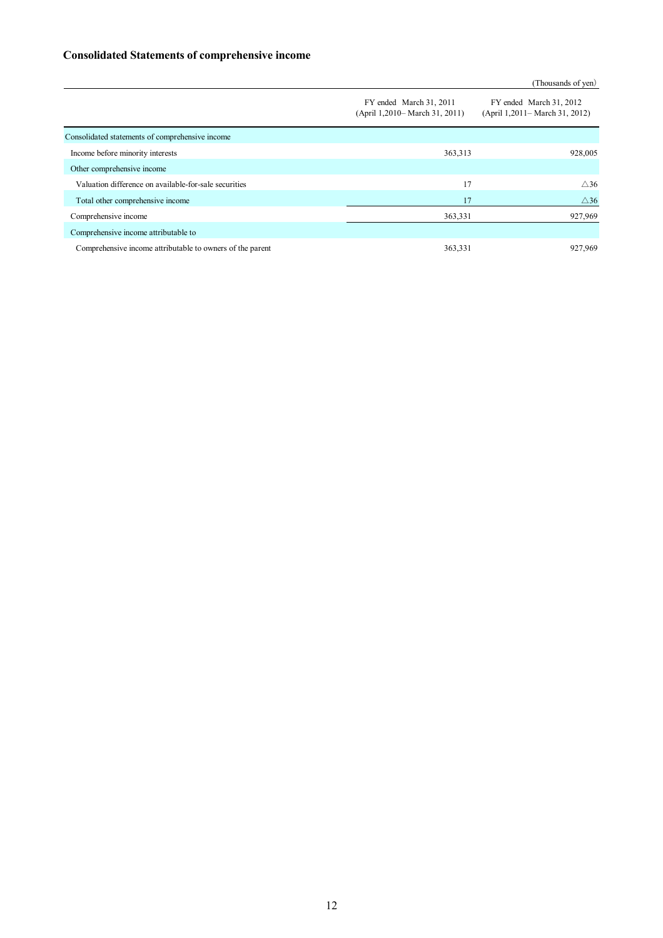### **Consolidated Statements of comprehensive income**

|                                                           |                                                           | (Thousands of yen)                                        |
|-----------------------------------------------------------|-----------------------------------------------------------|-----------------------------------------------------------|
|                                                           | FY ended March 31, 2011<br>(April 1,2010– March 31, 2011) | FY ended March 31, 2012<br>(April 1,2011– March 31, 2012) |
| Consolidated statements of comprehensive income           |                                                           |                                                           |
| Income before minority interests                          | 363,313                                                   | 928,005                                                   |
| Other comprehensive income                                |                                                           |                                                           |
| Valuation difference on available-for-sale securities     | 17                                                        | $\triangle 36$                                            |
| Total other comprehensive income                          | 17                                                        | $\triangle$ 36                                            |
| Comprehensive income                                      | 363,331                                                   | 927,969                                                   |
| Comprehensive income attributable to                      |                                                           |                                                           |
| Comprehensive income attributable to owners of the parent | 363,331                                                   | 927,969                                                   |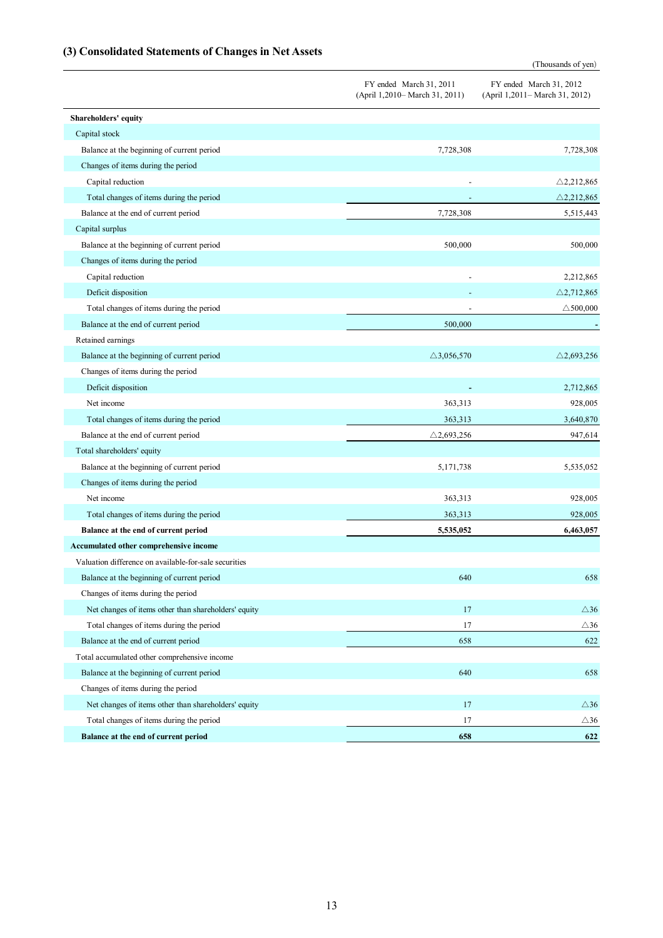# **(3) Consolidated Statements of Changes in Net Assets**

(Thousands of yen)

|                                                       | FY ended March 31, 2011<br>(April 1,2010– March 31, 2011) | FY ended March 31, 2012<br>(April 1,2011– March 31, 2012) |
|-------------------------------------------------------|-----------------------------------------------------------|-----------------------------------------------------------|
| Shareholders' equity                                  |                                                           |                                                           |
| Capital stock                                         |                                                           |                                                           |
| Balance at the beginning of current period            | 7,728,308                                                 | 7,728,308                                                 |
| Changes of items during the period                    |                                                           |                                                           |
| Capital reduction                                     |                                                           | $\triangle$ 2,212,865                                     |
| Total changes of items during the period              |                                                           | $\triangle$ 2,212,865                                     |
| Balance at the end of current period                  | 7,728,308                                                 | 5,515,443                                                 |
| Capital surplus                                       |                                                           |                                                           |
| Balance at the beginning of current period            | 500,000                                                   | 500,000                                                   |
| Changes of items during the period                    |                                                           |                                                           |
| Capital reduction                                     |                                                           | 2,212,865                                                 |
| Deficit disposition                                   |                                                           | $\triangle$ 2,712,865                                     |
| Total changes of items during the period              |                                                           | $\triangle$ 500,000                                       |
| Balance at the end of current period                  | 500,000                                                   |                                                           |
| Retained earnings                                     |                                                           |                                                           |
| Balance at the beginning of current period            | $\triangle$ 3,056,570                                     | $\triangle$ 2,693,256                                     |
| Changes of items during the period                    |                                                           |                                                           |
| Deficit disposition                                   |                                                           | 2,712,865                                                 |
| Net income                                            | 363,313                                                   | 928,005                                                   |
| Total changes of items during the period              | 363,313                                                   | 3,640,870                                                 |
| Balance at the end of current period                  | $\triangle$ 2,693,256                                     | 947,614                                                   |
| Total shareholders' equity                            |                                                           |                                                           |
| Balance at the beginning of current period            | 5,171,738                                                 | 5,535,052                                                 |
| Changes of items during the period                    |                                                           |                                                           |
| Net income                                            | 363,313                                                   | 928,005                                                   |
| Total changes of items during the period              | 363,313                                                   | 928,005                                                   |
| Balance at the end of current period                  | 5,535,052                                                 | 6,463,057                                                 |
| Accumulated other comprehensive income                |                                                           |                                                           |
| Valuation difference on available-for-sale securities |                                                           |                                                           |
| Balance at the beginning of current period            | 640                                                       | 658                                                       |
| Changes of items during the period                    |                                                           |                                                           |
| Net changes of items other than shareholders' equity  | 17                                                        | $\triangle 36$                                            |
| Total changes of items during the period              | 17                                                        | $\triangle 36$                                            |
| Balance at the end of current period                  | 658                                                       | 622                                                       |
| Total accumulated other comprehensive income          |                                                           |                                                           |
| Balance at the beginning of current period            | 640                                                       | 658                                                       |
| Changes of items during the period                    |                                                           |                                                           |
| Net changes of items other than shareholders' equity  | 17                                                        | $\triangle 36$                                            |
| Total changes of items during the period              | 17                                                        | $\triangle 36$                                            |
| Balance at the end of current period                  | 658                                                       | 622                                                       |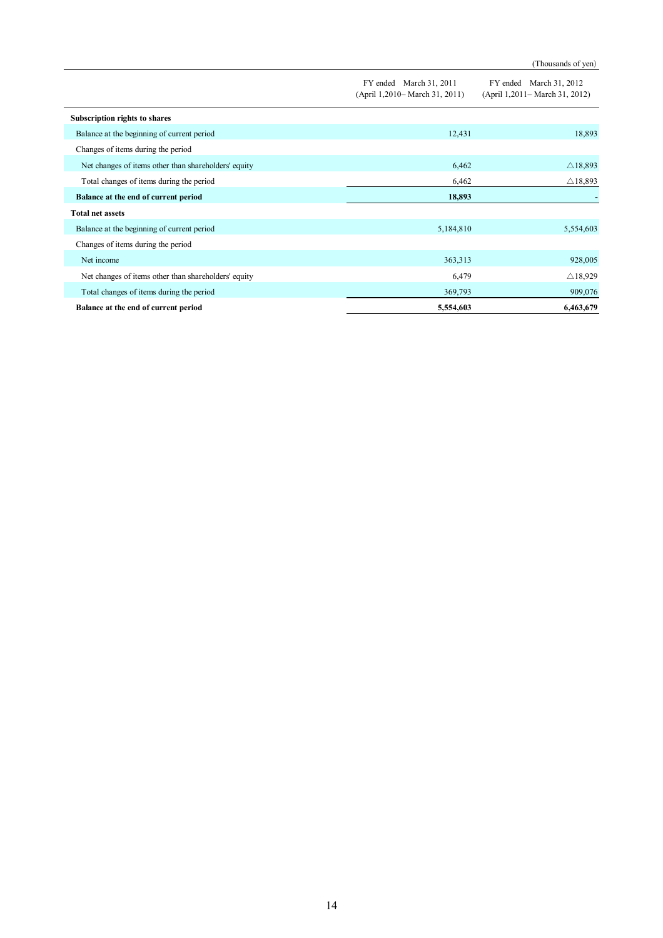|                                                      |                                                           | (Thousands of yen)                                        |
|------------------------------------------------------|-----------------------------------------------------------|-----------------------------------------------------------|
|                                                      | FY ended March 31, 2011<br>(April 1,2010– March 31, 2011) | FY ended March 31, 2012<br>(April 1,2011– March 31, 2012) |
| Subscription rights to shares                        |                                                           |                                                           |
| Balance at the beginning of current period           | 12,431                                                    | 18,893                                                    |
| Changes of items during the period                   |                                                           |                                                           |
| Net changes of items other than shareholders' equity | 6,462                                                     | $\triangle$ 18,893                                        |
| Total changes of items during the period             | 6,462                                                     | $\triangle$ 18,893                                        |
| Balance at the end of current period                 | 18,893                                                    |                                                           |
| <b>Total net assets</b>                              |                                                           |                                                           |
| Balance at the beginning of current period           | 5,184,810                                                 | 5,554,603                                                 |
| Changes of items during the period                   |                                                           |                                                           |
| Net income                                           | 363,313                                                   | 928,005                                                   |
| Net changes of items other than shareholders' equity | 6,479                                                     | $\triangle$ 18,929                                        |
| Total changes of items during the period             | 369,793                                                   | 909,076                                                   |
| Balance at the end of current period                 | 5,554,603                                                 | 6,463,679                                                 |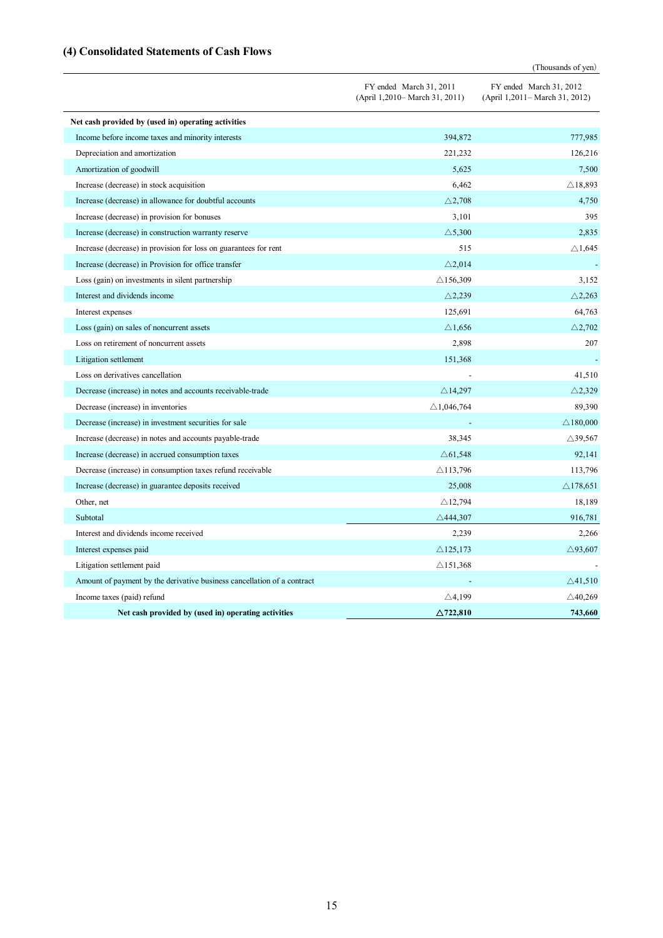# **(4) Consolidated Statements of Cash Flows**

(Thousands of yen)

|                                                                         | FY ended March 31, 2011<br>(April 1,2010– March 31, 2011) | FY ended March 31, 2012<br>(April 1,2011– March 31, 2012) |
|-------------------------------------------------------------------------|-----------------------------------------------------------|-----------------------------------------------------------|
| Net cash provided by (used in) operating activities                     |                                                           |                                                           |
| Income before income taxes and minority interests                       | 394,872                                                   | 777,985                                                   |
| Depreciation and amortization                                           | 221,232                                                   | 126,216                                                   |
| Amortization of goodwill                                                | 5,625                                                     | 7,500                                                     |
| Increase (decrease) in stock acquisition                                | 6,462                                                     | $\triangle$ 18,893                                        |
| Increase (decrease) in allowance for doubtful accounts                  | $\triangle$ 2,708                                         | 4,750                                                     |
| Increase (decrease) in provision for bonuses                            | 3,101                                                     | 395                                                       |
| Increase (decrease) in construction warranty reserve                    | $\triangle$ 5,300                                         | 2,835                                                     |
| Increase (decrease) in provision for loss on guarantees for rent        | 515                                                       | $\triangle$ 1,645                                         |
| Increase (decrease) in Provision for office transfer                    | $\triangle$ 2,014                                         |                                                           |
| Loss (gain) on investments in silent partnership                        | $\triangle$ 156,309                                       | 3,152                                                     |
| Interest and dividends income                                           | $\triangle$ 2,239                                         | $\triangle$ 2,263                                         |
| Interest expenses                                                       | 125,691                                                   | 64,763                                                    |
| Loss (gain) on sales of noncurrent assets                               | $\triangle$ 1,656                                         | $\triangle$ 2,702                                         |
| Loss on retirement of noncurrent assets                                 | 2,898                                                     | 207                                                       |
| Litigation settlement                                                   | 151,368                                                   |                                                           |
| Loss on derivatives cancellation                                        |                                                           | 41,510                                                    |
| Decrease (increase) in notes and accounts receivable-trade              | $\triangle$ 14,297                                        | $\triangle$ 2,329                                         |
| Decrease (increase) in inventories                                      | $\triangle$ 1,046,764                                     | 89,390                                                    |
| Decrease (increase) in investment securities for sale                   |                                                           | $\triangle$ 180,000                                       |
| Increase (decrease) in notes and accounts payable-trade                 | 38,345                                                    | $\triangle$ 39,567                                        |
| Increase (decrease) in accrued consumption taxes                        | $\triangle$ 61,548                                        | 92,141                                                    |
| Decrease (increase) in consumption taxes refund receivable              | $\triangle$ 113,796                                       | 113,796                                                   |
| Increase (decrease) in guarantee deposits received                      | 25,008                                                    | $\triangle$ 178,651                                       |
| Other, net                                                              | $\triangle$ 12,794                                        | 18,189                                                    |
| Subtotal                                                                | $\triangle$ 444,307                                       | 916,781                                                   |
| Interest and dividends income received                                  | 2,239                                                     | 2,266                                                     |
| Interest expenses paid                                                  | $\triangle$ 125,173                                       | $\triangle$ 93,607                                        |
| Litigation settlement paid                                              | $\triangle$ 151,368                                       |                                                           |
| Amount of payment by the derivative business cancellation of a contract |                                                           | $\triangle$ 41,510                                        |
| Income taxes (paid) refund                                              | $\triangle$ 4,199                                         | $\triangle$ 40,269                                        |
| Net cash provided by (used in) operating activities                     | $\triangle$ 722.810                                       | 743,660                                                   |